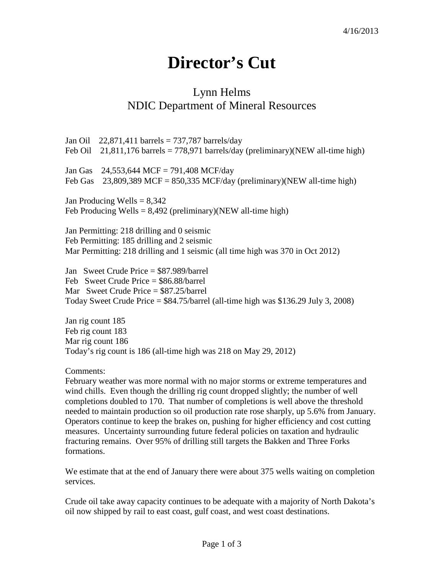## **Director's Cut**

## Lynn Helms NDIC Department of Mineral Resources

Jan Oil 22,871,411 barrels = 737,787 barrels/day Feb Oil 21,811,176 barrels = 778,971 barrels/day (preliminary)(NEW all-time high) Jan Gas 24,553,644 MCF = 791,408 MCF/day Feb Gas  $23,809,389$  MCF = 850,335 MCF/day (preliminary)(NEW all-time high) Jan Producing Wells  $= 8,342$ Feb Producing Wells =  $8,492$  (preliminary)(NEW all-time high) Jan Permitting: 218 drilling and 0 seismic Feb Permitting: 185 drilling and 2 seismic Mar Permitting: 218 drilling and 1 seismic (all time high was 370 in Oct 2012) Jan Sweet Crude Price = \$87.989/barrel Feb Sweet Crude Price = \$86.88/barrel Mar Sweet Crude Price = \$87.25/barrel Today Sweet Crude Price  $=$  \$84.75/barrel (all-time high was \$136.29 July 3, 2008) Jan rig count 185 Feb rig count 183 Mar rig count 186 Today's rig count is 186 (all-time high was 218 on May 29, 2012)

Comments:

February weather was more normal with no major storms or extreme temperatures and wind chills. Even though the drilling rig count dropped slightly; the number of well completions doubled to 170. That number of completions is well above the threshold needed to maintain production so oil production rate rose sharply, up 5.6% from January. Operators continue to keep the brakes on, pushing for higher efficiency and cost cutting measures. Uncertainty surrounding future federal policies on taxation and hydraulic fracturing remains. Over 95% of drilling still targets the Bakken and Three Forks formations.

We estimate that at the end of January there were about 375 wells waiting on completion services.

Crude oil take away capacity continues to be adequate with a majority of North Dakota's oil now shipped by rail to east coast, gulf coast, and west coast destinations.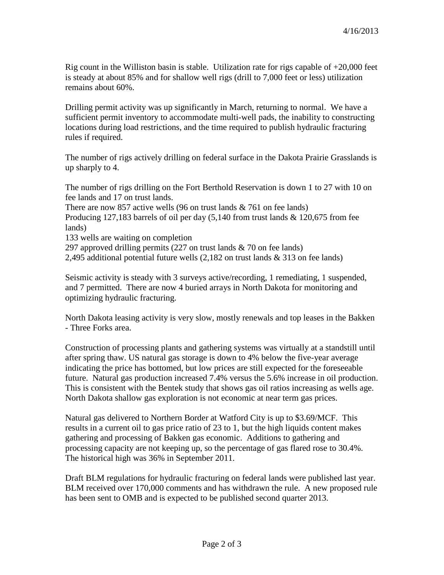Rig count in the Williston basin is stable. Utilization rate for rigs capable of  $+20,000$  feet is steady at about 85% and for shallow well rigs (drill to 7,000 feet or less) utilization remains about 60%.

Drilling permit activity was up significantly in March, returning to normal. We have a sufficient permit inventory to accommodate multi-well pads, the inability to constructing locations during load restrictions, and the time required to publish hydraulic fracturing rules if required.

The number of rigs actively drilling on federal surface in the Dakota Prairie Grasslands is up sharply to 4.

The number of rigs drilling on the Fort Berthold Reservation is down 1 to 27 with 10 on fee lands and 17 on trust lands. There are now 857 active wells (96 on trust lands  $& 761$  on fee lands) Producing 127,183 barrels of oil per day  $(5,140)$  from trust lands  $\&$  120,675 from fee lands) 133 wells are waiting on completion

297 approved drilling permits (227 on trust lands & 70 on fee lands)

2,495 additional potential future wells (2,182 on trust lands & 313 on fee lands)

Seismic activity is steady with 3 surveys active/recording, 1 remediating, 1 suspended, and 7 permitted. There are now 4 buried arrays in North Dakota for monitoring and optimizing hydraulic fracturing.

North Dakota leasing activity is very slow, mostly renewals and top leases in the Bakken - Three Forks area.

Construction of processing plants and gathering systems was virtually at a standstill until after spring thaw. US natural gas storage is down to 4% below the five-year average indicating the price has bottomed, but low prices are still expected for the foreseeable future. Natural gas production increased 7.4% versus the 5.6% increase in oil production. This is consistent with the Bentek study that shows gas oil ratios increasing as wells age. North Dakota shallow gas exploration is not economic at near term gas prices.

Natural gas delivered to Northern Border at Watford City is up to \$3.69/MCF. This results in a current oil to gas price ratio of 23 to 1, but the high liquids content makes gathering and processing of Bakken gas economic. Additions to gathering and processing capacity are not keeping up, so the percentage of gas flared rose to 30.4%. The historical high was 36% in September 2011.

Draft BLM regulations for hydraulic fracturing on federal lands were published last year. BLM received over 170,000 comments and has withdrawn the rule. A new proposed rule has been sent to OMB and is expected to be published second quarter 2013.